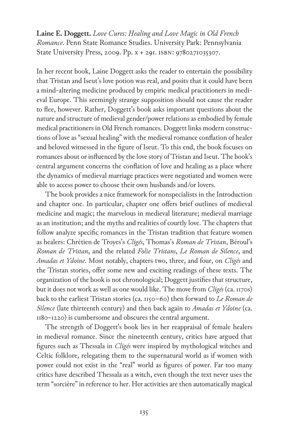**Laine E. Doggett.** *Love Cures: Healing and Love Magic in Old French Romance*. Penn State Romance Studies. University Park: Pennsylvania State University Press, 2009. Pp. x + 291. isbn: 9780271035307.

In her recent book, Laine Doggett asks the reader to entertain the possibility that Tristan and Iseut's love potion was real, and posits that it could have been a mind-altering medicine produced by empiric medical practitioners in medieval Europe. This seemingly strange supposition should not cause the reader to flee, however. Rather, Doggett's book asks important questions about the nature and structure of medieval gender/power relations as embodied by female medical practitioners in Old French romances. Doggett links modern constructions of love as "sexual healing" with the medieval romance conflation of healer and beloved witnessed in the figure of Iseut. To this end, the book focuses on romances about or influenced by the love story of Tristan and Iseut. The book's central argument concerns the conflation of love and healing as a place where the dynamics of medieval marriage practices were negotiated and women were able to access power to choose their own husbands and/or lovers.

The book provides a nice framework for nonspecialists in the Introduction and chapter one. In particular, chapter one offers brief outlines of medieval medicine and magic; the marvelous in medieval literature; medieval marriage as an institution; and the myths and realities of courtly love. The chapters that follow analyze specific romances in the Tristan tradition that feature women as healers: Chrétien de Troyes's *Cligés*, Thomas's *Roman de Tristan*, Béroul's *Roman de Tristan*, and the related *Folie Tristans*, *Le Roman de Silence*, and *Amadas et Ydoine*. Most notably, chapters two, three, and four, on *Cligés* and the Tristan stories, offer some new and exciting readings of these texts. The organization of the book is not chronological; Doggett justifies that structure, but it does not work as well as one would like. The move from *Cligés* (ca. 1170s) back to the earliest Tristan stories (ca. 1150–60) then forward to *Le Roman de Silence* (late thirteenth century) and then back again to *Amadas et Ydoine* (ca. 1180–1220) is cumbersome and obscures the central argument.

The strength of Doggett's book lies in her reappraisal of female healers in medieval romance. Since the nineteenth century, critics have argued that figures such as Thessala in *Cligés* were inspired by mythological witches and Celtic folklore, relegating them to the supernatural world as if women with power could not exist in the "real" world as figures of power. Far too many critics have described Thessala as a witch, even though the text never uses the term "sorcière" in reference to her. Her activities are then automatically magical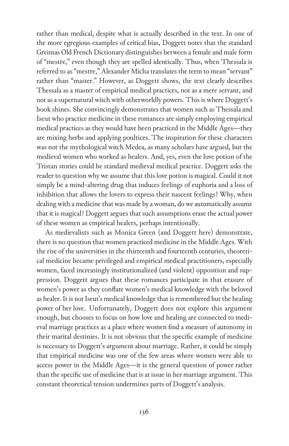rather than medical, despite what is actually described in the text. In one of the more egregious examples of critical bias, Doggett notes that the standard Greimas Old French Dictionary distinguishes between a female and male form of "mestre," even though they are spelled identically. Thus, when Thessala is referred to as "mestre," Alexander Micha translates the term to mean "servant" rather than "master." However, as Doggett shows, the text clearly describes Thessala as a master of empirical medical practices, not as a mere servant, and not as a supernatural witch with otherworldly powers. This is where Doggett's book shines. She convincingly demonstrates that women such as Thessala and Iseut who practice medicine in these romances are simply employing empirical medical practices as they would have been practiced in the Middle Ages—they are mixing herbs and applying poultices. The inspiration for these characters was not the mythological witch Medea, as many scholars have argued, but the medieval women who worked as healers. And, yes, even the love potion of the Tristan stories could be standard medieval medical practice. Doggett asks the reader to question why we assume that this love potion is magical. Could it not simply be a mind-altering drug that induces feelings of euphoria and a loss of inhibition that allows the lovers to express their nascent feelings? Why, when dealing with a medicine that was made by a woman, do we automatically assume that it is magical? Doggett argues that such assumptions erase the actual power of these women as empirical healers, perhaps intentionally.

As medievalists such as Monica Green (and Doggett here) demonstrate, there is no question that women practiced medicine in the Middle Ages. With the rise of the universities in the thirteenth and fourteenth centuries, theoretical medicine became privileged and empirical medical practitioners, especially women, faced increasingly institutionalized (and violent) opposition and suppression. Doggett argues that these romances participate in that erasure of women's power as they conflate women's medical knowledge with the beloved as healer. It is not Iseut's medical knowledge that is remembered but the healing power of her love. Unfortunately, Doggett does not explore this argument enough, but chooses to focus on how love and healing are connected to medieval marriage practices as a place where women find a measure of autonomy in their marital destinies. It is not obvious that the specific example of medicine is necessary to Doggett's argument about marriage. Rather, it could be simply that empirical medicine was one of the few areas where women were able to access power in the Middle Ages—it is the general question of power rather than the specific use of medicine that is at issue in her marriage argument. This constant theoretical tension undermines parts of Doggett's analysis.